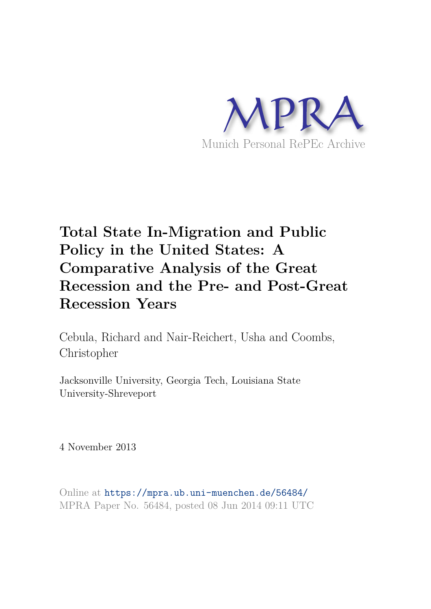

## **Total State In-Migration and Public Policy in the United States: A Comparative Analysis of the Great Recession and the Pre- and Post-Great Recession Years**

Cebula, Richard and Nair-Reichert, Usha and Coombs, Christopher

Jacksonville University, Georgia Tech, Louisiana State University-Shreveport

4 November 2013

Online at https://mpra.ub.uni-muenchen.de/56484/ MPRA Paper No. 56484, posted 08 Jun 2014 09:11 UTC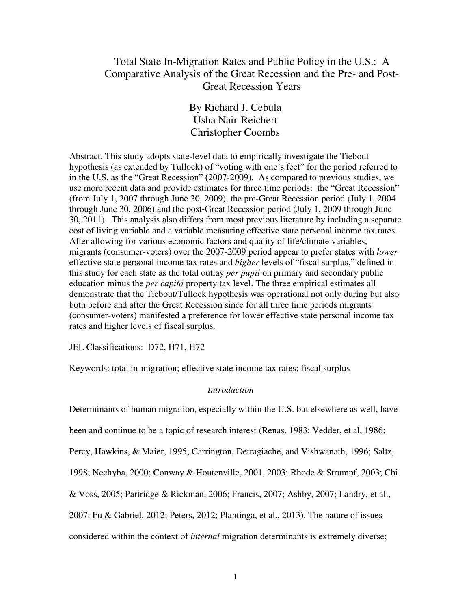### Total State In-Migration Rates and Public Policy in the U.S.: A Comparative Analysis of the Great Recession and the Pre- and Post-Great Recession Years

By Richard J. Cebula Usha Nair-Reichert Christopher Coombs

Abstract. This study adopts state-level data to empirically investigate the Tiebout hypothesis (as extended by Tullock) of "voting with one's feet" for the period referred to in the U.S. as the "Great Recession" (2007-2009). As compared to previous studies, we use more recent data and provide estimates for three time periods: the "Great Recession" (from July 1, 2007 through June 30, 2009), the pre-Great Recession period (July 1, 2004 through June 30, 2006) and the post-Great Recession period (July 1, 2009 through June 30, 2011). This analysis also differs from most previous literature by including a separate cost of living variable and a variable measuring effective state personal income tax rates. After allowing for various economic factors and quality of life/climate variables, migrants (consumer-voters) over the 2007-2009 period appear to prefer states with *lower* effective state personal income tax rates and *higher* levels of "fiscal surplus," defined in this study for each state as the total outlay *per pupil* on primary and secondary public education minus the *per capita* property tax level. The three empirical estimates all demonstrate that the Tiebout/Tullock hypothesis was operational not only during but also both before and after the Great Recession since for all three time periods migrants (consumer-voters) manifested a preference for lower effective state personal income tax rates and higher levels of fiscal surplus.

JEL Classifications: D72, H71, H72

Keywords: total in-migration; effective state income tax rates; fiscal surplus

### *Introduction*

Determinants of human migration, especially within the U.S. but elsewhere as well, have

been and continue to be a topic of research interest (Renas, 1983; Vedder, et al, 1986;

Percy, Hawkins, & Maier, 1995; Carrington, Detragiache, and Vishwanath, 1996; Saltz,

1998; Nechyba, 2000; Conway & Houtenville, 2001, 2003; Rhode & Strumpf, 2003; Chi

& Voss, 2005; Partridge & Rickman, 2006; Francis, 2007; Ashby, 2007; Landry, et al.,

2007; Fu & Gabriel, 2012; Peters, 2012; Plantinga, et al., 2013). The nature of issues

considered within the context of *internal* migration determinants is extremely diverse;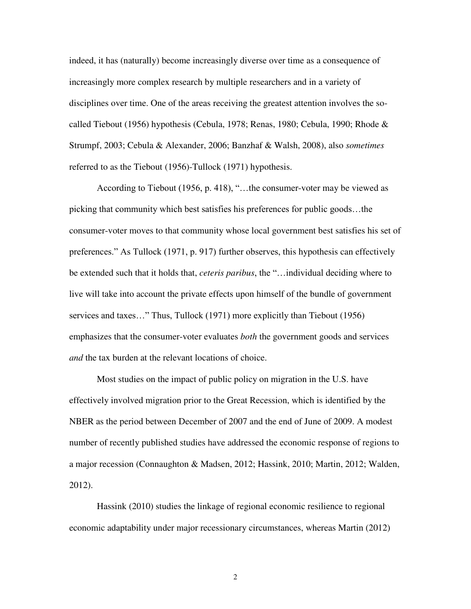indeed, it has (naturally) become increasingly diverse over time as a consequence of increasingly more complex research by multiple researchers and in a variety of disciplines over time. One of the areas receiving the greatest attention involves the socalled Tiebout (1956) hypothesis (Cebula, 1978; Renas, 1980; Cebula, 1990; Rhode & Strumpf, 2003; Cebula & Alexander, 2006; Banzhaf & Walsh, 2008), also *sometimes* referred to as the Tiebout (1956)-Tullock (1971) hypothesis.

According to Tiebout (1956, p. 418), "…the consumer-voter may be viewed as picking that community which best satisfies his preferences for public goods…the consumer-voter moves to that community whose local government best satisfies his set of preferences." As Tullock (1971, p. 917) further observes, this hypothesis can effectively be extended such that it holds that, *ceteris paribus*, the "…individual deciding where to live will take into account the private effects upon himself of the bundle of government services and taxes…" Thus, Tullock (1971) more explicitly than Tiebout (1956) emphasizes that the consumer-voter evaluates *both* the government goods and services *and* the tax burden at the relevant locations of choice.

Most studies on the impact of public policy on migration in the U.S. have effectively involved migration prior to the Great Recession, which is identified by the NBER as the period between December of 2007 and the end of June of 2009. A modest number of recently published studies have addressed the economic response of regions to a major recession (Connaughton & Madsen, 2012; Hassink, 2010; Martin, 2012; Walden, 2012).

Hassink (2010) studies the linkage of regional economic resilience to regional economic adaptability under major recessionary circumstances, whereas Martin (2012)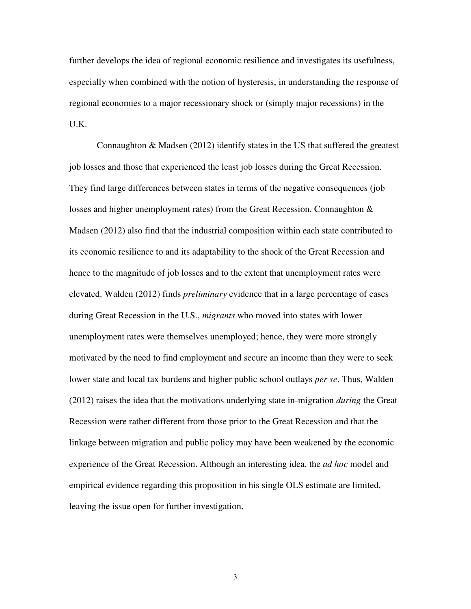further develops the idea of regional economic resilience and investigates its usefulness, especially when combined with the notion of hysteresis, in understanding the response of regional economies to a major recessionary shock or (simply major recessions) in the U.K.

Connaughton & Madsen (2012) identify states in the US that suffered the greatest job losses and those that experienced the least job losses during the Great Recession. They find large differences between states in terms of the negative consequences (job losses and higher unemployment rates) from the Great Recession. Connaughton & Madsen (2012) also find that the industrial composition within each state contributed to its economic resilience to and its adaptability to the shock of the Great Recession and hence to the magnitude of job losses and to the extent that unemployment rates were elevated. Walden (2012) finds *preliminary* evidence that in a large percentage of cases during Great Recession in the U.S., *migrants* who moved into states with lower unemployment rates were themselves unemployed; hence, they were more strongly motivated by the need to find employment and secure an income than they were to seek lower state and local tax burdens and higher public school outlays *per se*. Thus, Walden (2012) raises the idea that the motivations underlying state in-migration *during* the Great Recession were rather different from those prior to the Great Recession and that the linkage between migration and public policy may have been weakened by the economic experience of the Great Recession. Although an interesting idea, the *ad hoc* model and empirical evidence regarding this proposition in his single OLS estimate are limited, leaving the issue open for further investigation.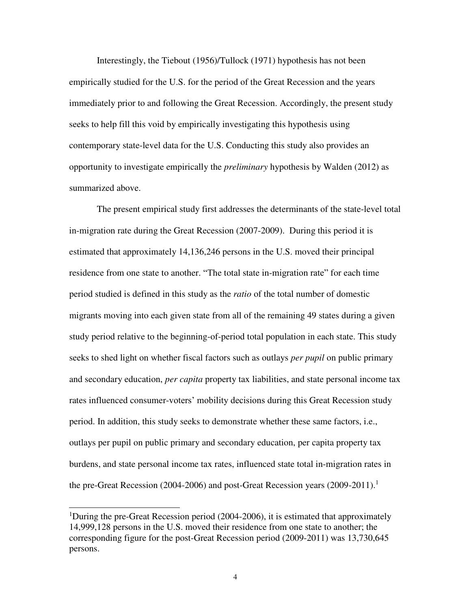Interestingly, the Tiebout (1956)/Tullock (1971) hypothesis has not been empirically studied for the U.S. for the period of the Great Recession and the years immediately prior to and following the Great Recession. Accordingly, the present study seeks to help fill this void by empirically investigating this hypothesis using contemporary state-level data for the U.S. Conducting this study also provides an opportunity to investigate empirically the *preliminary* hypothesis by Walden (2012) as summarized above.

The present empirical study first addresses the determinants of the state-level total in-migration rate during the Great Recession (2007-2009). During this period it is estimated that approximately 14,136,246 persons in the U.S. moved their principal residence from one state to another. "The total state in-migration rate" for each time period studied is defined in this study as the *ratio* of the total number of domestic migrants moving into each given state from all of the remaining 49 states during a given study period relative to the beginning-of-period total population in each state. This study seeks to shed light on whether fiscal factors such as outlays *per pupil* on public primary and secondary education, *per capita* property tax liabilities, and state personal income tax rates influenced consumer-voters' mobility decisions during this Great Recession study period. In addition, this study seeks to demonstrate whether these same factors, i.e., outlays per pupil on public primary and secondary education, per capita property tax burdens, and state personal income tax rates, influenced state total in-migration rates in the pre-Great Recession (2004-2006) and post-Great Recession years (2009-2011).<sup>1</sup>

 $\overline{a}$ 

<sup>&</sup>lt;sup>1</sup>During the pre-Great Recession period (2004-2006), it is estimated that approximately 14,999,128 persons in the U.S. moved their residence from one state to another; the corresponding figure for the post-Great Recession period (2009-2011) was 13,730,645 persons.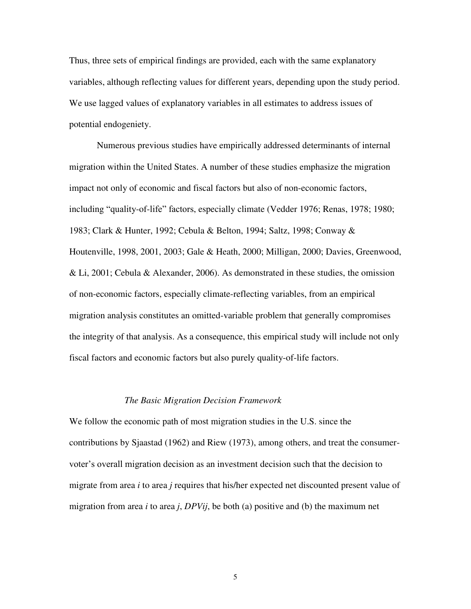Thus, three sets of empirical findings are provided, each with the same explanatory variables, although reflecting values for different years, depending upon the study period. We use lagged values of explanatory variables in all estimates to address issues of potential endogeniety.

Numerous previous studies have empirically addressed determinants of internal migration within the United States. A number of these studies emphasize the migration impact not only of economic and fiscal factors but also of non-economic factors, including "quality-of-life" factors, especially climate (Vedder 1976; Renas, 1978; 1980; 1983; Clark & Hunter, 1992; Cebula & Belton, 1994; Saltz, 1998; Conway & Houtenville, 1998, 2001, 2003; Gale & Heath, 2000; Milligan, 2000; Davies, Greenwood, & Li, 2001; Cebula & Alexander, 2006). As demonstrated in these studies, the omission of non-economic factors, especially climate-reflecting variables, from an empirical migration analysis constitutes an omitted-variable problem that generally compromises the integrity of that analysis. As a consequence, this empirical study will include not only fiscal factors and economic factors but also purely quality-of-life factors.

#### *The Basic Migration Decision Framework*

We follow the economic path of most migration studies in the U.S. since the contributions by Sjaastad (1962) and Riew (1973), among others, and treat the consumervoter's overall migration decision as an investment decision such that the decision to migrate from area *i* to area *j* requires that his/her expected net discounted present value of migration from area *i* to area *j*, *DPVij*, be both (a) positive and (b) the maximum net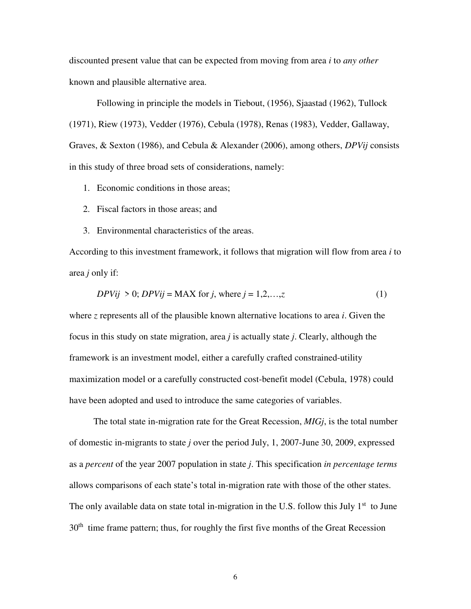discounted present value that can be expected from moving from area *i* to *any other* known and plausible alternative area.

 Following in principle the models in Tiebout, (1956), Sjaastad (1962), Tullock (1971), Riew (1973), Vedder (1976), Cebula (1978), Renas (1983), Vedder, Gallaway, Graves, & Sexton (1986), and Cebula & Alexander (2006), among others, *DPVij* consists in this study of three broad sets of considerations, namely:

- 1. Economic conditions in those areas;
- 2. Fiscal factors in those areas; and
- 3. Environmental characteristics of the areas.

According to this investment framework, it follows that migration will flow from area *i* to area *j* only if:

$$
DPVij > 0; DPVij = MAX for j, where j = 1, 2, \dots, z
$$
 (1)

where *z* represents all of the plausible known alternative locations to area *i*. Given the focus in this study on state migration, area *j* is actually state *j*. Clearly, although the framework is an investment model, either a carefully crafted constrained-utility maximization model or a carefully constructed cost-benefit model (Cebula, 1978) could have been adopted and used to introduce the same categories of variables.

The total state in-migration rate for the Great Recession, *MIGj*, is the total number of domestic in-migrants to state *j* over the period July, 1, 2007-June 30, 2009, expressed as a *percent* of the year 2007 population in state *j*. This specification *in percentage terms*  allows comparisons of each state's total in-migration rate with those of the other states. The only available data on state total in-migration in the U.S. follow this July  $1<sup>st</sup>$  to June  $30<sup>th</sup>$  time frame pattern; thus, for roughly the first five months of the Great Recession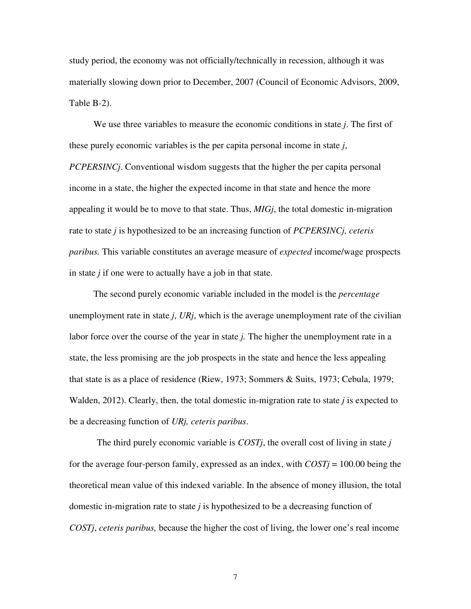study period, the economy was not officially/technically in recession, although it was materially slowing down prior to December, 2007 (Council of Economic Advisors, 2009, Table B-2).

We use three variables to measure the economic conditions in state *j*. The first of these purely economic variables is the per capita personal income in state *j*, *PCPERSINCj*. Conventional wisdom suggests that the higher the per capita personal income in a state, the higher the expected income in that state and hence the more appealing it would be to move to that state. Thus, *MIGj*, the total domestic in-migration rate to state *j* is hypothesized to be an increasing function of *PCPERSINCj, ceteris paribus.* This variable constitutes an average measure of *expected* income/wage prospects in state *j* if one were to actually have a job in that state.

The second purely economic variable included in the model is the *percentage* unemployment rate in state *j*, *URj*, which is the average unemployment rate of the civilian labor force over the course of the year in state *j.* The higher the unemployment rate in a state, the less promising are the job prospects in the state and hence the less appealing that state is as a place of residence (Riew, 1973; Sommers & Suits, 1973; Cebula, 1979; Walden, 2012). Clearly, then, the total domestic in-migration rate to state *j* is expected to be a decreasing function of *URj, ceteris paribus*.

The third purely economic variable is *COSTj*, the overall cost of living in state *j* for the average four-person family, expressed as an index, with *COSTj* = 100.00 being the theoretical mean value of this indexed variable. In the absence of money illusion, the total domestic in-migration rate to state  $j$  is hypothesized to be a decreasing function of *COSTj*, *ceteris paribus,* because the higher the cost of living, the lower one's real income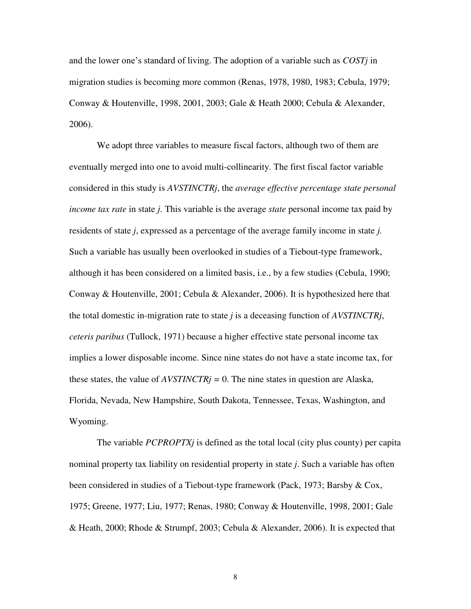and the lower one's standard of living. The adoption of a variable such as *COSTj* in migration studies is becoming more common (Renas, 1978, 1980, 1983; Cebula, 1979; Conway & Houtenville, 1998, 2001, 2003; Gale & Heath 2000; Cebula & Alexander, 2006).

We adopt three variables to measure fiscal factors, although two of them are eventually merged into one to avoid multi-collinearity. The first fiscal factor variable considered in this study is *AVSTINCTRj*, the *average effective percentage state personal income tax rate* in state *j*. This variable is the average *state* personal income tax paid by residents of state *j*, expressed as a percentage of the average family income in state *j.*  Such a variable has usually been overlooked in studies of a Tiebout-type framework, although it has been considered on a limited basis, i.e., by a few studies (Cebula, 1990; Conway & Houtenville, 2001; Cebula & Alexander, 2006). It is hypothesized here that the total domestic in-migration rate to state *j* is a deceasing function of *AVSTINCTRj*, *ceteris paribus* (Tullock, 1971) because a higher effective state personal income tax implies a lower disposable income. Since nine states do not have a state income tax, for these states, the value of *AVSTINCTRj =* 0. The nine states in question are Alaska, Florida, Nevada, New Hampshire, South Dakota, Tennessee, Texas, Washington, and Wyoming.

The variable *PCPROPTXj* is defined as the total local (city plus county) per capita nominal property tax liability on residential property in state *j*. Such a variable has often been considered in studies of a Tiebout-type framework (Pack, 1973; Barsby & Cox, 1975; Greene, 1977; Liu, 1977; Renas, 1980; Conway & Houtenville, 1998, 2001; Gale & Heath, 2000; Rhode & Strumpf, 2003; Cebula & Alexander, 2006). It is expected that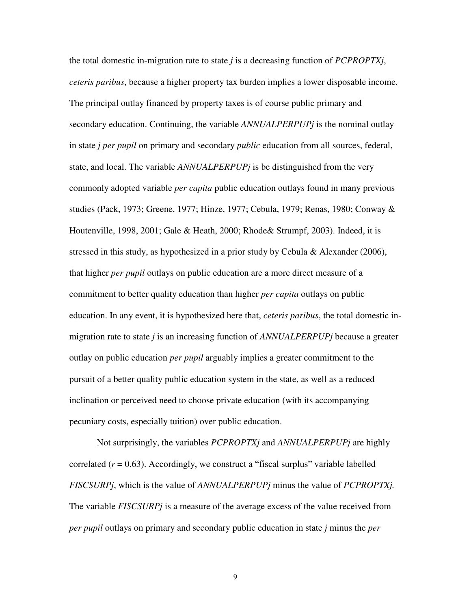the total domestic in-migration rate to state *j* is a decreasing function of *PCPROPTXj*, *ceteris paribus*, because a higher property tax burden implies a lower disposable income. The principal outlay financed by property taxes is of course public primary and secondary education. Continuing, the variable *ANNUALPERPUPj* is the nominal outlay in state *j per pupil* on primary and secondary *public* education from all sources, federal, state, and local. The variable *ANNUALPERPUPj* is be distinguished from the very commonly adopted variable *per capita* public education outlays found in many previous studies (Pack, 1973; Greene, 1977; Hinze, 1977; Cebula, 1979; Renas, 1980; Conway & Houtenville, 1998, 2001; Gale & Heath, 2000; Rhode& Strumpf, 2003). Indeed, it is stressed in this study, as hypothesized in a prior study by Cebula & Alexander (2006), that higher *per pupil* outlays on public education are a more direct measure of a commitment to better quality education than higher *per capita* outlays on public education. In any event, it is hypothesized here that, *ceteris paribus*, the total domestic inmigration rate to state *j* is an increasing function of *ANNUALPERPUPj* because a greater outlay on public education *per pupil* arguably implies a greater commitment to the pursuit of a better quality public education system in the state, as well as a reduced inclination or perceived need to choose private education (with its accompanying pecuniary costs, especially tuition) over public education.

 Not surprisingly, the variables *PCPROPTXj* and *ANNUALPERPUPj* are highly correlated  $(r = 0.63)$ . Accordingly, we construct a "fiscal surplus" variable labelled *FISCSURPj*, which is the value of *ANNUALPERPUPj* minus the value of *PCPROPTXj.*  The variable *FISCSURPj* is a measure of the average excess of the value received from *per pupil* outlays on primary and secondary public education in state *j* minus the *per*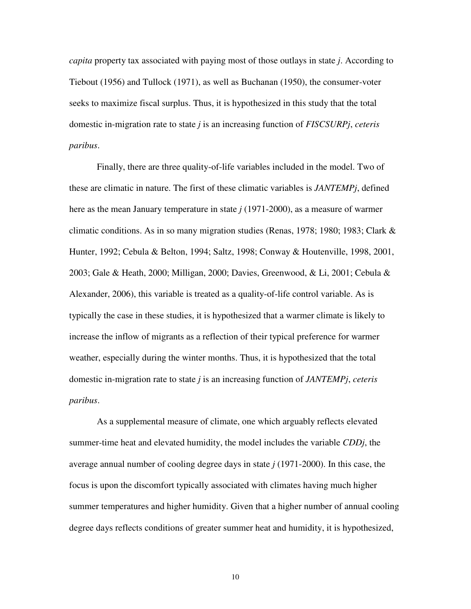*capita* property tax associated with paying most of those outlays in state *j*. According to Tiebout (1956) and Tullock (1971), as well as Buchanan (1950), the consumer-voter seeks to maximize fiscal surplus. Thus, it is hypothesized in this study that the total domestic in-migration rate to state *j* is an increasing function of *FISCSURPj*, *ceteris paribus*.

Finally, there are three quality-of-life variables included in the model. Two of these are climatic in nature. The first of these climatic variables is *JANTEMPj*, defined here as the mean January temperature in state *j* (1971-2000), as a measure of warmer climatic conditions. As in so many migration studies (Renas, 1978; 1980; 1983; Clark & Hunter, 1992; Cebula & Belton, 1994; Saltz, 1998; Conway & Houtenville, 1998, 2001, 2003; Gale & Heath, 2000; Milligan, 2000; Davies, Greenwood, & Li, 2001; Cebula & Alexander, 2006), this variable is treated as a quality-of-life control variable. As is typically the case in these studies, it is hypothesized that a warmer climate is likely to increase the inflow of migrants as a reflection of their typical preference for warmer weather, especially during the winter months. Thus, it is hypothesized that the total domestic in-migration rate to state *j* is an increasing function of *JANTEMPj*, *ceteris paribus*.

As a supplemental measure of climate, one which arguably reflects elevated summer-time heat and elevated humidity, the model includes the variable *CDDj*, the average annual number of cooling degree days in state *j* (1971-2000). In this case, the focus is upon the discomfort typically associated with climates having much higher summer temperatures and higher humidity. Given that a higher number of annual cooling degree days reflects conditions of greater summer heat and humidity, it is hypothesized,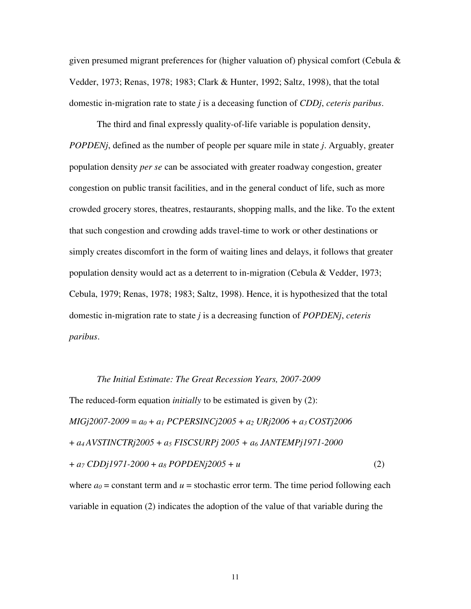given presumed migrant preferences for (higher valuation of) physical comfort (Cebula  $\&$ Vedder, 1973; Renas, 1978; 1983; Clark & Hunter, 1992; Saltz, 1998), that the total domestic in-migration rate to state *j* is a deceasing function of *CDDj*, *ceteris paribus*.

The third and final expressly quality-of-life variable is population density, *POPDENj*, defined as the number of people per square mile in state *j*. Arguably, greater population density *per se* can be associated with greater roadway congestion, greater congestion on public transit facilities, and in the general conduct of life, such as more crowded grocery stores, theatres, restaurants, shopping malls, and the like. To the extent that such congestion and crowding adds travel-time to work or other destinations or simply creates discomfort in the form of waiting lines and delays, it follows that greater population density would act as a deterrent to in-migration (Cebula & Vedder, 1973; Cebula, 1979; Renas, 1978; 1983; Saltz, 1998). Hence, it is hypothesized that the total domestic in-migration rate to state *j* is a decreasing function of *POPDENj*, *ceteris paribus*.

*The Initial Estimate: The Great Recession Years, 2007-2009*  The reduced-form equation *initially* to be estimated is given by (2): *MIGj2007-2009* = *a<sup>0</sup>* + *a<sup>1</sup> PCPERSINCj2005* + *a<sup>2</sup> URj2006* + *a3 COSTj2006*  + *a4 AVSTINCTRj2005* + *a<sup>5</sup> FISCSURPj 2005 + a6 JANTEMPj1971-2000* + *a<sup>7</sup> CDDj1971-2000* + *a<sup>8</sup> POPDENj2005* + *u* (2)

where  $a_0$  = constant term and  $u$  = stochastic error term. The time period following each variable in equation (2) indicates the adoption of the value of that variable during the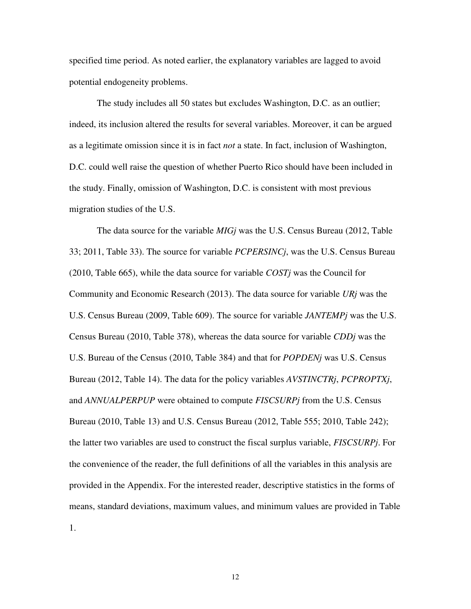specified time period. As noted earlier, the explanatory variables are lagged to avoid potential endogeneity problems.

The study includes all 50 states but excludes Washington, D.C. as an outlier; indeed, its inclusion altered the results for several variables. Moreover, it can be argued as a legitimate omission since it is in fact *not* a state. In fact, inclusion of Washington, D.C. could well raise the question of whether Puerto Rico should have been included in the study. Finally, omission of Washington, D.C. is consistent with most previous migration studies of the U.S.

 The data source for the variable *MIGj* was the U.S. Census Bureau (2012, Table 33; 2011, Table 33). The source for variable *PCPERSINCj*, was the U.S. Census Bureau (2010, Table 665), while the data source for variable *COSTj* was the Council for Community and Economic Research (2013). The data source for variable *URj* was the U.S. Census Bureau (2009, Table 609). The source for variable *JANTEMPj* was the U.S. Census Bureau (2010, Table 378), whereas the data source for variable *CDDj* was the U.S. Bureau of the Census (2010, Table 384) and that for *POPDENj* was U.S. Census Bureau (2012, Table 14). The data for the policy variables *AVSTINCTRj*, *PCPROPTXj*, and *ANNUALPERPUP* were obtained to compute *FISCSURPj* from the U.S. Census Bureau (2010, Table 13) and U.S. Census Bureau (2012, Table 555; 2010, Table 242); the latter two variables are used to construct the fiscal surplus variable, *FISCSURPj*. For the convenience of the reader, the full definitions of all the variables in this analysis are provided in the Appendix. For the interested reader, descriptive statistics in the forms of means, standard deviations, maximum values, and minimum values are provided in Table 1.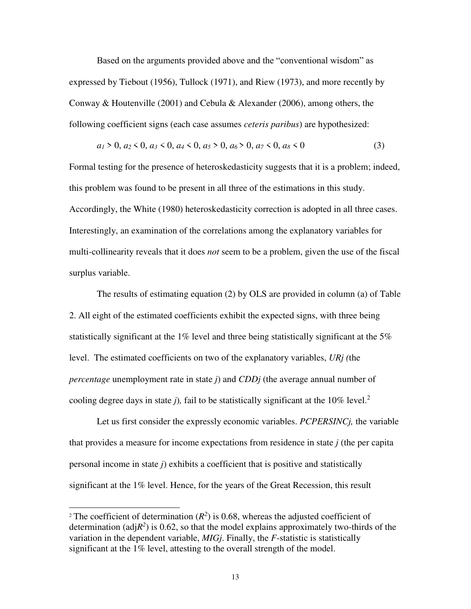Based on the arguments provided above and the "conventional wisdom" as expressed by Tiebout (1956), Tullock (1971), and Riew (1973), and more recently by Conway & Houtenville (2001) and Cebula & Alexander (2006), among others, the following coefficient signs (each case assumes *ceteris paribus*) are hypothesized:

$$
a_1 > 0, a_2 < 0, a_3 < 0, a_4 < 0, a_5 > 0, a_6 > 0, a_7 < 0, a_8 < 0
$$
 (3)

Formal testing for the presence of heteroskedasticity suggests that it is a problem; indeed, this problem was found to be present in all three of the estimations in this study. Accordingly, the White (1980) heteroskedasticity correction is adopted in all three cases. Interestingly, an examination of the correlations among the explanatory variables for multi-collinearity reveals that it does *not* seem to be a problem, given the use of the fiscal surplus variable.

The results of estimating equation (2) by OLS are provided in column (a) of Table 2. All eight of the estimated coefficients exhibit the expected signs, with three being statistically significant at the 1% level and three being statistically significant at the 5% level. The estimated coefficients on two of the explanatory variables, *URj (*the *percentage* unemployment rate in state *j*) and *CDDj* (the average annual number of cooling degree days in state *j*), fail to be statistically significant at the 10% level.<sup>2</sup>

 Let us first consider the expressly economic variables. *PCPERSINCj,* the variable that provides a measure for income expectations from residence in state *j* (the per capita personal income in state *j*) exhibits a coefficient that is positive and statistically significant at the 1% level. Hence, for the years of the Great Recession, this result

 $\overline{a}$ 

<sup>&</sup>lt;sup>2</sup> The coefficient of determination  $(R^2)$  is 0.68, whereas the adjusted coefficient of determination (adj $R^2$ ) is 0.62, so that the model explains approximately two-thirds of the variation in the dependent variable, *MIGj*. Finally, the *F*-statistic is statistically significant at the 1% level, attesting to the overall strength of the model.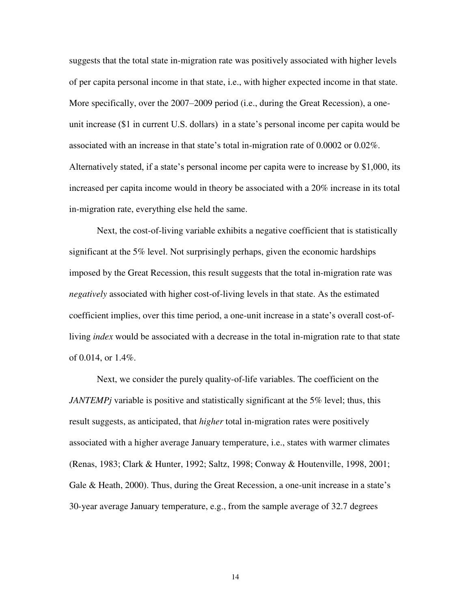suggests that the total state in-migration rate was positively associated with higher levels of per capita personal income in that state, i.e., with higher expected income in that state. More specifically, over the 2007–2009 period (i.e., during the Great Recession), a oneunit increase (\$1 in current U.S. dollars) in a state's personal income per capita would be associated with an increase in that state's total in-migration rate of 0.0002 or 0.02%. Alternatively stated, if a state's personal income per capita were to increase by \$1,000, its increased per capita income would in theory be associated with a 20% increase in its total in-migration rate, everything else held the same.

Next, the cost-of-living variable exhibits a negative coefficient that is statistically significant at the 5% level. Not surprisingly perhaps, given the economic hardships imposed by the Great Recession, this result suggests that the total in-migration rate was *negatively* associated with higher cost-of-living levels in that state. As the estimated coefficient implies, over this time period, a one-unit increase in a state's overall cost-ofliving *index* would be associated with a decrease in the total in-migration rate to that state of 0.014, or 1.4%.

Next, we consider the purely quality-of-life variables. The coefficient on the *JANTEMPj* variable is positive and statistically significant at the 5% level; thus, this result suggests, as anticipated, that *higher* total in-migration rates were positively associated with a higher average January temperature, i.e., states with warmer climates (Renas, 1983; Clark & Hunter, 1992; Saltz, 1998; Conway & Houtenville, 1998, 2001; Gale & Heath, 2000). Thus, during the Great Recession, a one-unit increase in a state's 30-year average January temperature, e.g., from the sample average of 32.7 degrees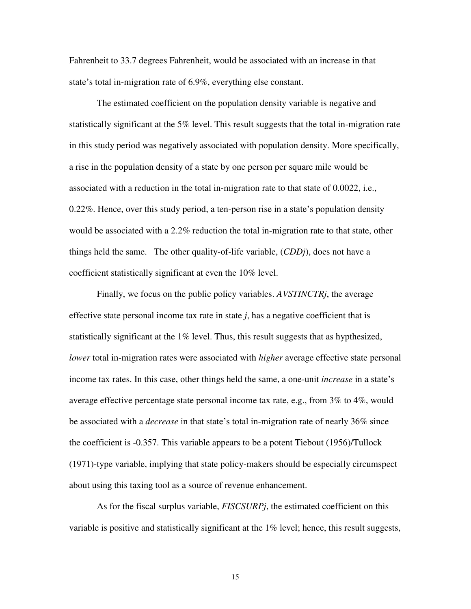Fahrenheit to 33.7 degrees Fahrenheit, would be associated with an increase in that state's total in-migration rate of 6.9%, everything else constant.

The estimated coefficient on the population density variable is negative and statistically significant at the 5% level. This result suggests that the total in-migration rate in this study period was negatively associated with population density. More specifically, a rise in the population density of a state by one person per square mile would be associated with a reduction in the total in-migration rate to that state of 0.0022, i.e., 0.22%. Hence, over this study period, a ten-person rise in a state's population density would be associated with a 2.2% reduction the total in-migration rate to that state, other things held the same. The other quality-of-life variable, (*CDDj*), does not have a coefficient statistically significant at even the 10% level.

 Finally, we focus on the public policy variables. *AVSTINCTRj*, the average effective state personal income tax rate in state  $j$ , has a negative coefficient that is statistically significant at the 1% level. Thus, this result suggests that as hypthesized, *lower* total in-migration rates were associated with *higher* average effective state personal income tax rates. In this case, other things held the same, a one-unit *increase* in a state's average effective percentage state personal income tax rate, e.g., from 3% to 4%, would be associated with a *decrease* in that state's total in-migration rate of nearly 36% since the coefficient is -0.357. This variable appears to be a potent Tiebout (1956)/Tullock (1971)-type variable, implying that state policy-makers should be especially circumspect about using this taxing tool as a source of revenue enhancement.

As for the fiscal surplus variable, *FISCSURPj*, the estimated coefficient on this variable is positive and statistically significant at the 1% level; hence, this result suggests,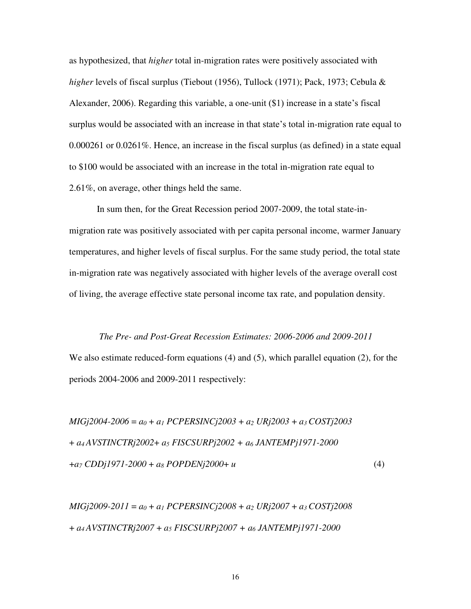as hypothesized, that *higher* total in-migration rates were positively associated with *higher* levels of fiscal surplus (Tiebout (1956), Tullock (1971); Pack, 1973; Cebula & Alexander, 2006). Regarding this variable, a one-unit (\$1) increase in a state's fiscal surplus would be associated with an increase in that state's total in-migration rate equal to 0.000261 or 0.0261%. Hence, an increase in the fiscal surplus (as defined) in a state equal to \$100 would be associated with an increase in the total in-migration rate equal to 2.61%, on average, other things held the same.

 In sum then, for the Great Recession period 2007-2009, the total state-inmigration rate was positively associated with per capita personal income, warmer January temperatures, and higher levels of fiscal surplus. For the same study period, the total state in-migration rate was negatively associated with higher levels of the average overall cost of living, the average effective state personal income tax rate, and population density.

# *The Pre- and Post-Great Recession Estimates: 2006-2006 and 2009-2011*

We also estimate reduced-form equations (4) and (5), which parallel equation (2), for the periods 2004-2006 and 2009-2011 respectively:

*MIGj2004-2006* = *a<sup>0</sup>* + *a<sup>1</sup> PCPERSINCj2003* + *a<sup>2</sup> URj2003* + *a3 COSTj2003*  + *a4 AVSTINCTRj2002*+ *a<sup>5</sup> FISCSURPj2002 + a6 JANTEMPj1971-2000* +*a<sup>7</sup> CDDj1971-2000* + *a<sup>8</sup> POPDENj2000*+ *u* (4)

*MIGj2009-2011* = *a<sup>0</sup>* + *a<sup>1</sup> PCPERSINCj2008* + *a<sup>2</sup> URj2007* + *a3 COSTj2008*  + *a4 AVSTINCTRj2007* + *a<sup>5</sup> FISCSURPj2007 + a6 JANTEMPj1971-2000*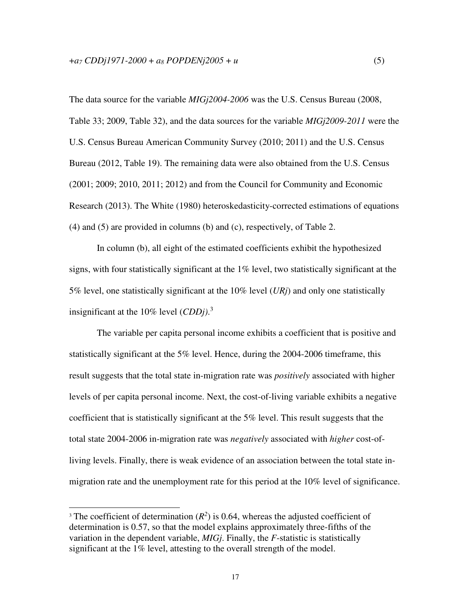The data source for the variable *MIGj2004-2006* was the U.S. Census Bureau (2008, Table 33; 2009, Table 32), and the data sources for the variable *MIGj2009-2011* were the U.S. Census Bureau American Community Survey (2010; 2011) and the U.S. Census Bureau (2012, Table 19). The remaining data were also obtained from the U.S. Census (2001; 2009; 2010, 2011; 2012) and from the Council for Community and Economic Research (2013). The White (1980) heteroskedasticity-corrected estimations of equations (4) and (5) are provided in columns (b) and (c), respectively, of Table 2.

In column (b), all eight of the estimated coefficients exhibit the hypothesized signs, with four statistically significant at the 1% level, two statistically significant at the 5% level, one statistically significant at the 10% level (*URj*) and only one statistically insignificant at the 10% level (*CDDj)*. 3

The variable per capita personal income exhibits a coefficient that is positive and statistically significant at the 5% level. Hence, during the 2004-2006 timeframe, this result suggests that the total state in-migration rate was *positively* associated with higher levels of per capita personal income. Next, the cost-of-living variable exhibits a negative coefficient that is statistically significant at the 5% level. This result suggests that the total state 2004-2006 in-migration rate was *negatively* associated with *higher* cost-ofliving levels. Finally, there is weak evidence of an association between the total state inmigration rate and the unemployment rate for this period at the 10% level of significance.

 $\overline{a}$ 

<sup>&</sup>lt;sup>3</sup> The coefficient of determination  $(R^2)$  is 0.64, whereas the adjusted coefficient of determination is 0.57, so that the model explains approximately three-fifths of the variation in the dependent variable, *MIGj*. Finally, the *F*-statistic is statistically significant at the 1% level, attesting to the overall strength of the model.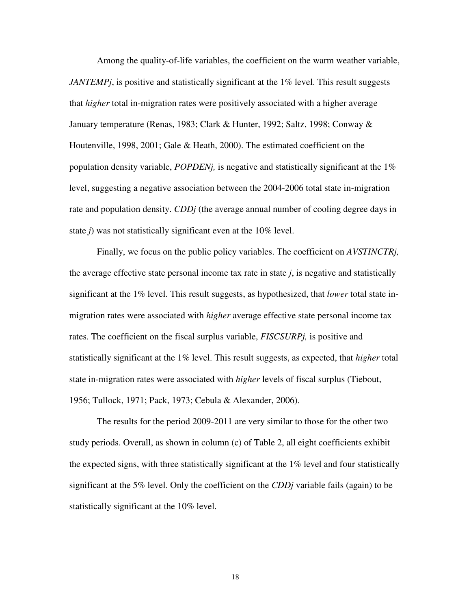Among the quality-of-life variables, the coefficient on the warm weather variable, *JANTEMPj*, is positive and statistically significant at the 1% level. This result suggests that *higher* total in-migration rates were positively associated with a higher average January temperature (Renas, 1983; Clark & Hunter, 1992; Saltz, 1998; Conway & Houtenville, 1998, 2001; Gale & Heath, 2000). The estimated coefficient on the population density variable, *POPDENj,* is negative and statistically significant at the 1% level, suggesting a negative association between the 2004-2006 total state in-migration rate and population density. *CDDj* (the average annual number of cooling degree days in state *j*) was not statistically significant even at the 10% level.

 Finally, we focus on the public policy variables. The coefficient on *AVSTINCTRj,*  the average effective state personal income tax rate in state *j*, is negative and statistically significant at the 1% level. This result suggests, as hypothesized, that *lower* total state inmigration rates were associated with *higher* average effective state personal income tax rates. The coefficient on the fiscal surplus variable, *FISCSURPj,* is positive and statistically significant at the 1% level. This result suggests, as expected, that *higher* total state in-migration rates were associated with *higher* levels of fiscal surplus (Tiebout, 1956; Tullock, 1971; Pack, 1973; Cebula & Alexander, 2006).

The results for the period 2009-2011 are very similar to those for the other two study periods. Overall, as shown in column (c) of Table 2, all eight coefficients exhibit the expected signs, with three statistically significant at the 1% level and four statistically significant at the 5% level. Only the coefficient on the *CDDj* variable fails (again) to be statistically significant at the 10% level.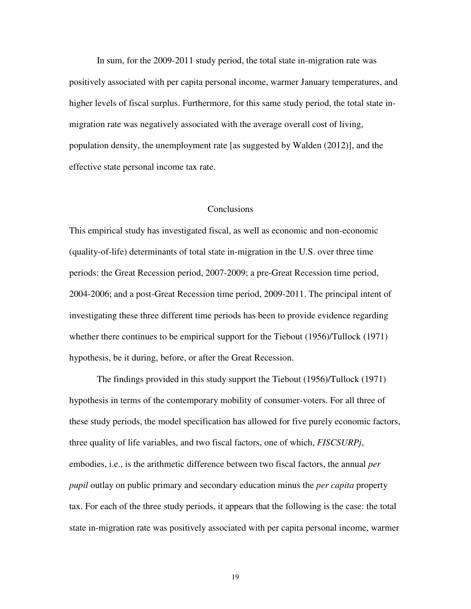In sum, for the 2009-2011 study period, the total state in-migration rate was positively associated with per capita personal income, warmer January temperatures, and higher levels of fiscal surplus. Furthermore, for this same study period, the total state inmigration rate was negatively associated with the average overall cost of living, population density, the unemployment rate [as suggested by Walden (2012)], and the effective state personal income tax rate.

#### **Conclusions**

This empirical study has investigated fiscal, as well as economic and non-economic (quality-of-life) determinants of total state in-migration in the U.S. over three time periods: the Great Recession period, 2007-2009; a pre-Great Recession time period, 2004-2006; and a post-Great Recession time period, 2009-2011. The principal intent of investigating these three different time periods has been to provide evidence regarding whether there continues to be empirical support for the Tiebout (1956)/Tullock (1971) hypothesis, be it during, before, or after the Great Recession.

The findings provided in this study support the Tiebout (1956)/Tullock (1971) hypothesis in terms of the contemporary mobility of consumer-voters. For all three of these study periods, the model specification has allowed for five purely economic factors, three quality of life variables, and two fiscal factors, one of which, *FISCSURPj*, embodies, i.e., is the arithmetic difference between two fiscal factors, the annual *per pupil* outlay on public primary and secondary education minus the *per capita* property tax. For each of the three study periods, it appears that the following is the case: the total state in-migration rate was positively associated with per capita personal income, warmer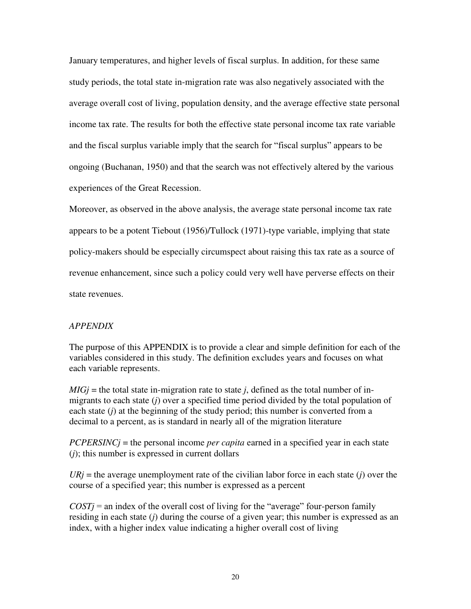January temperatures, and higher levels of fiscal surplus. In addition, for these same study periods, the total state in-migration rate was also negatively associated with the average overall cost of living, population density, and the average effective state personal income tax rate. The results for both the effective state personal income tax rate variable and the fiscal surplus variable imply that the search for "fiscal surplus" appears to be ongoing (Buchanan, 1950) and that the search was not effectively altered by the various experiences of the Great Recession.

Moreover, as observed in the above analysis, the average state personal income tax rate appears to be a potent Tiebout (1956)/Tullock (1971)-type variable, implying that state policy-makers should be especially circumspect about raising this tax rate as a source of revenue enhancement, since such a policy could very well have perverse effects on their state revenues.

### *APPENDIX*

The purpose of this APPENDIX is to provide a clear and simple definition for each of the variables considered in this study. The definition excludes years and focuses on what each variable represents.

 $MIG$ *j* = the total state in-migration rate to state *j*, defined as the total number of inmigrants to each state (*j*) over a specified time period divided by the total population of each state (*j*) at the beginning of the study period; this number is converted from a decimal to a percent, as is standard in nearly all of the migration literature

*PCPERSINCj* = the personal income *per capita* earned in a specified year in each state (*j*); this number is expressed in current dollars

 $URj$  = the average unemployment rate of the civilian labor force in each state (*j*) over the course of a specified year; this number is expressed as a percent

 $COST$ *j* = an index of the overall cost of living for the "average" four-person family residing in each state (*j*) during the course of a given year; this number is expressed as an index, with a higher index value indicating a higher overall cost of living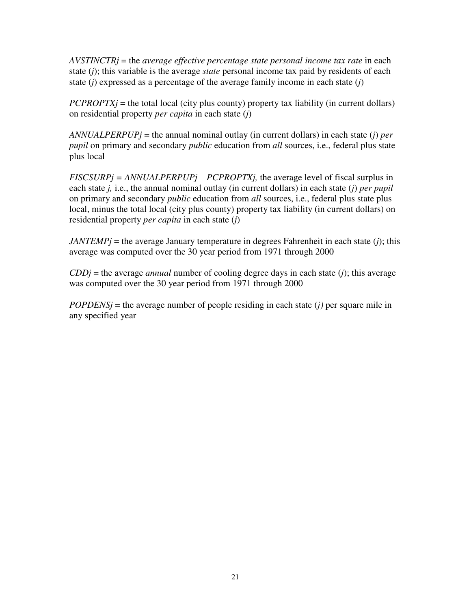*AVSTINCTRj* = the *average effective percentage state personal income tax rate* in each state (*j*); this variable is the average *state* personal income tax paid by residents of each state (*j*) expressed as a percentage of the average family income in each state (*j*)

 $PCPROPTXj$  = the total local (city plus county) property tax liability (in current dollars) on residential property *per capita* in each state (*j*)

*ANNUALPERPUPj* = the annual nominal outlay (in current dollars) in each state (*j*) *per pupil* on primary and secondary *public* education from *all* sources, i.e., federal plus state plus local

*FISCSURPj = ANNUALPERPUPj – PCPROPTXj,* the average level of fiscal surplus in each state *j,* i.e., the annual nominal outlay (in current dollars) in each state (*j*) *per pupil* on primary and secondary *public* education from *all* sources, i.e., federal plus state plus local, minus the total local (city plus county) property tax liability (in current dollars) on residential property *per capita* in each state (*j*)

 $JANTEMP$ *j* = the average January temperature in degrees Fahrenheit in each state (*j*); this average was computed over the 30 year period from 1971 through 2000

 $CDDj$  = the average *annual* number of cooling degree days in each state (*j*); this average was computed over the 30 year period from 1971 through 2000

 $POPDENS_j$  = the average number of people residing in each state (*j*) per square mile in any specified year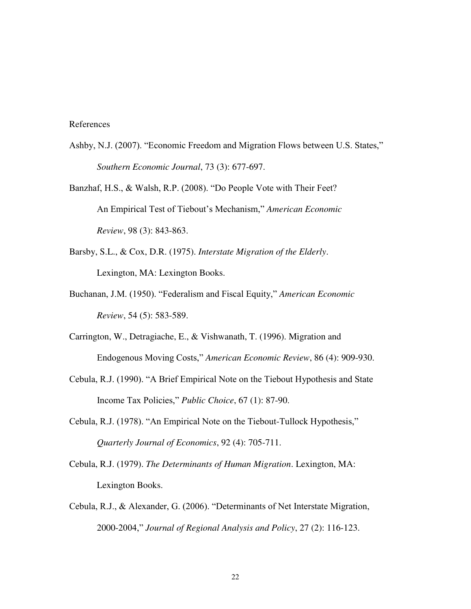### References

- Ashby, N.J. (2007). "Economic Freedom and Migration Flows between U.S. States," *Southern Economic Journal*, 73 (3): 677-697.
- Banzhaf, H.S., & Walsh, R.P. (2008). "Do People Vote with Their Feet? An Empirical Test of Tiebout's Mechanism," *American Economic Review*, 98 (3): 843-863.
- Barsby, S.L., & Cox, D.R. (1975). *Interstate Migration of the Elderly*. Lexington, MA: Lexington Books.
- Buchanan, J.M. (1950). "Federalism and Fiscal Equity," *American Economic Review*, 54 (5): 583-589.
- Carrington, W., Detragiache, E., & Vishwanath, T. (1996). Migration and Endogenous Moving Costs," *American Economic Review*, 86 (4): 909-930.
- Cebula, R.J. (1990). "A Brief Empirical Note on the Tiebout Hypothesis and State Income Tax Policies," *Public Choice*, 67 (1): 87-90.
- Cebula, R.J. (1978). "An Empirical Note on the Tiebout-Tullock Hypothesis," *Quarterly Journal of Economics*, 92 (4): 705-711.
- Cebula, R.J. (1979). *The Determinants of Human Migration*. Lexington, MA: Lexington Books.
- Cebula, R.J., & Alexander, G. (2006). "Determinants of Net Interstate Migration, 2000-2004," *Journal of Regional Analysis and Policy*, 27 (2): 116-123.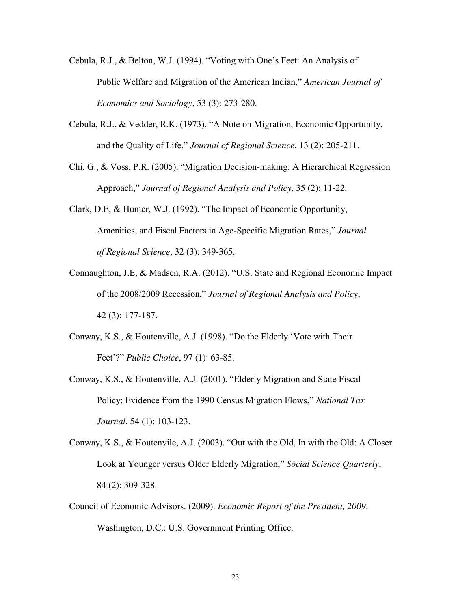- Cebula, R.J., & Belton, W.J. (1994). "Voting with One's Feet: An Analysis of Public Welfare and Migration of the American Indian," *American Journal of Economics and Sociology*, 53 (3): 273-280.
- Cebula, R.J., & Vedder, R.K. (1973). "A Note on Migration, Economic Opportunity, and the Quality of Life," *Journal of Regional Science*, 13 (2): 205-211.
- Chi, G., & Voss, P.R. (2005). "Migration Decision-making: A Hierarchical Regression Approach," *Journal of Regional Analysis and Policy*, 35 (2): 11-22.
- Clark, D.E, & Hunter, W.J. (1992). "The Impact of Economic Opportunity, Amenities, and Fiscal Factors in Age-Specific Migration Rates," *Journal of Regional Science*, 32 (3): 349-365.
- Connaughton, J.E, & Madsen, R.A. (2012). "U.S. State and Regional Economic Impact of the 2008/2009 Recession," *Journal of Regional Analysis and Policy*, 42 (3): 177-187.
- Conway, K.S., & Houtenville, A.J. (1998). "Do the Elderly 'Vote with Their Feet'?" *Public Choice*, 97 (1): 63-85.
- Conway, K.S., & Houtenville, A.J. (2001). "Elderly Migration and State Fiscal Policy: Evidence from the 1990 Census Migration Flows," *National Tax Journal*, 54 (1): 103-123.
- Conway, K.S., & Houtenvile, A.J. (2003). "Out with the Old, In with the Old: A Closer Look at Younger versus Older Elderly Migration," *Social Science Quarterly*, 84 (2): 309-328.
- Council of Economic Advisors. (2009). *Economic Report of the President, 2009*. Washington, D.C.: U.S. Government Printing Office.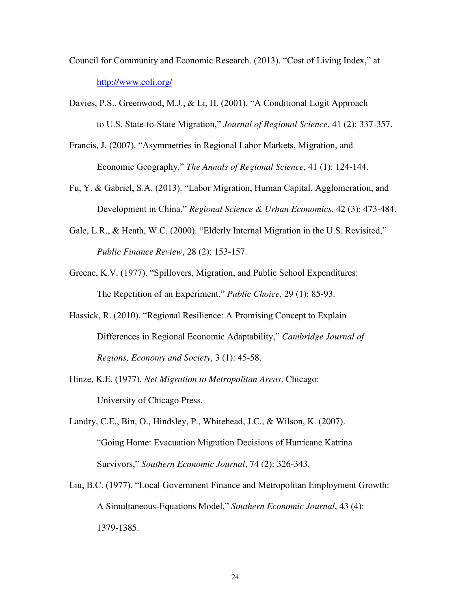- Council for Community and Economic Research. (2013). "Cost of Living Index," at <http://www.coli.org/>
- Davies, P.S., Greenwood, M.J., & Li, H. (2001). "A Conditional Logit Approach to U.S. State-to-State Migration," *Journal of Regional Science*, 41 (2): 337-357.
- Francis, J. (2007). "Asymmetries in Regional Labor Markets, Migration, and Economic Geography," *The Annals of Regional Science*, 41 (1): 124-144.
- Fu, Y. & Gabriel, S.A. (2013). "Labor Migration, Human Capital, Agglomeration, and Development in China," *Regional Science & Urban Economics*, 42 (3): 473-484.
- Gale, L.R., & Heath, W.C. (2000). "Elderly Internal Migration in the U.S. Revisited," *Public Finance Review*, 28 (2): 153-157.
- Greene, K.V. (1977). "Spillovers, Migration, and Public School Expenditures: The Repetition of an Experiment," *Public Choice*, 29 (1): 85-93.
- Hassick, R. (2010). "Regional Resilience: A Promising Concept to Explain Differences in Regional Economic Adaptability," *Cambridge Journal of Regions, Economy and Society*, 3 (1): 45-58.
- Hinze, K.E. (1977). *Net Migration to Metropolitan Areas*. Chicago: University of Chicago Press.
- Landry, C.E., Bin, O., Hindsley, P., Whitehead, J.C., & Wilson, K. (2007). "Going Home: Evacuation Migration Decisions of Hurricane Katrina Survivors," *Southern Economic Journal*, 74 (2): 326-343.
- Liu, B.C. (1977). "Local Government Finance and Metropolitan Employment Growth: A Simultaneous-Equations Model," *Southern Economic Journal*, 43 (4): 1379-1385.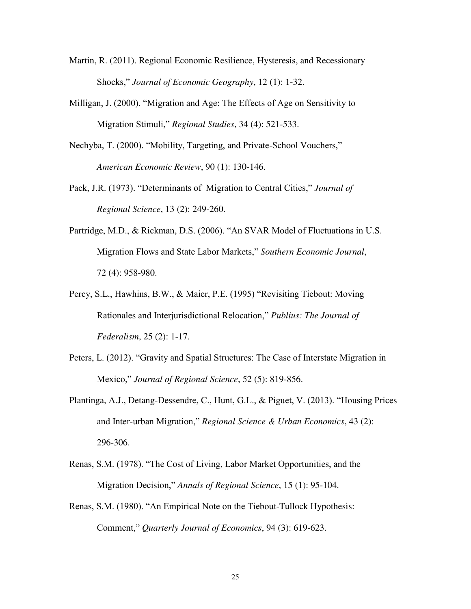- Martin, R. (2011). Regional Economic Resilience, Hysteresis, and Recessionary Shocks," *Journal of Economic Geography*, 12 (1): 1-32.
- Milligan, J. (2000). "Migration and Age: The Effects of Age on Sensitivity to Migration Stimuli," *Regional Studies*, 34 (4): 521-533.
- Nechyba, T. (2000). "Mobility, Targeting, and Private-School Vouchers," *American Economic Review*, 90 (1): 130-146.
- Pack, J.R. (1973). "Determinants of Migration to Central Cities," *Journal of Regional Science*, 13 (2): 249-260.
- Partridge, M.D., & Rickman, D.S. (2006). "An SVAR Model of Fluctuations in U.S. Migration Flows and State Labor Markets," *Southern Economic Journal*, 72 (4): 958-980.
- Percy, S.L., Hawhins, B.W., & Maier, P.E. (1995) "Revisiting Tiebout: Moving Rationales and Interjurisdictional Relocation," *Publius: The Journal of Federalism*, 25 (2): 1-17.
- Peters, L. (2012). "Gravity and Spatial Structures: The Case of Interstate Migration in Mexico," *Journal of Regional Science*, 52 (5): 819-856.
- Plantinga, A.J., Detang-Dessendre, C., Hunt, G.L., & Piguet, V. (2013). "Housing Prices and Inter-urban Migration," *Regional Science & Urban Economics*, 43 (2): 296-306.
- Renas, S.M. (1978). "The Cost of Living, Labor Market Opportunities, and the Migration Decision," *Annals of Regional Science*, 15 (1): 95-104.
- Renas, S.M. (1980). "An Empirical Note on the Tiebout-Tullock Hypothesis: Comment," *Quarterly Journal of Economics*, 94 (3): 619-623.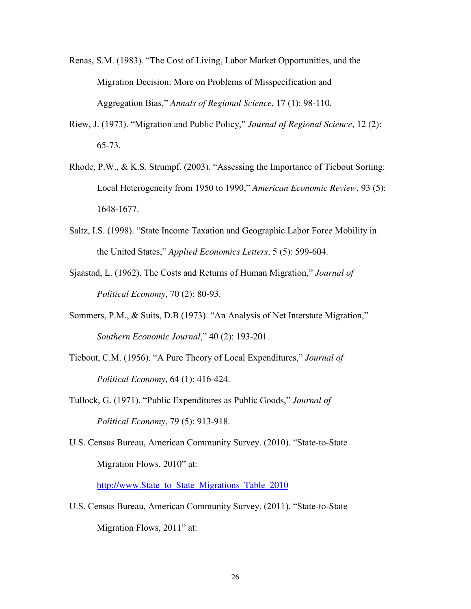- Renas, S.M. (1983). "The Cost of Living, Labor Market Opportunities, and the Migration Decision: More on Problems of Misspecification and Aggregation Bias," *Annals of Regional Science*, 17 (1): 98-110.
- Riew, J. (1973). "Migration and Public Policy," *Journal of Regional Science*, 12 (2): 65-73.
- Rhode, P.W., & K.S. Strumpf. (2003). "Assessing the Importance of Tiebout Sorting: Local Heterogeneity from 1950 to 1990," *American Economic Review*, 93 (5): 1648-1677.
- Saltz, I.S. (1998). "State Income Taxation and Geographic Labor Force Mobility in the United States," *Applied Economics Letters*, 5 (5): 599-604.
- Sjaastad, L. (1962). The Costs and Returns of Human Migration," *Journal of Political Economy*, 70 (2): 80-93.
- Sommers, P.M., & Suits, D.B (1973). "An Analysis of Net Interstate Migration," *Southern Economic Journal*," 40 (2): 193-201.
- Tiebout, C.M. (1956). "A Pure Theory of Local Expenditures," *Journal of Political Economy*, 64 (1): 416-424.
- Tullock, G. (1971). "Public Expenditures as Public Goods," *Journal of Political Economy*, 79 (5): 913-918.
- U.S. Census Bureau, American Community Survey. (2010). "State-to-State Migration Flows, 2010" at:

[http://www.State\\_to\\_State\\_Migrations\\_Table\\_2010](http://www.state_to_state_migrations_table_2010/)

U.S. Census Bureau, American Community Survey. (2011). "State-to-State Migration Flows, 2011" at: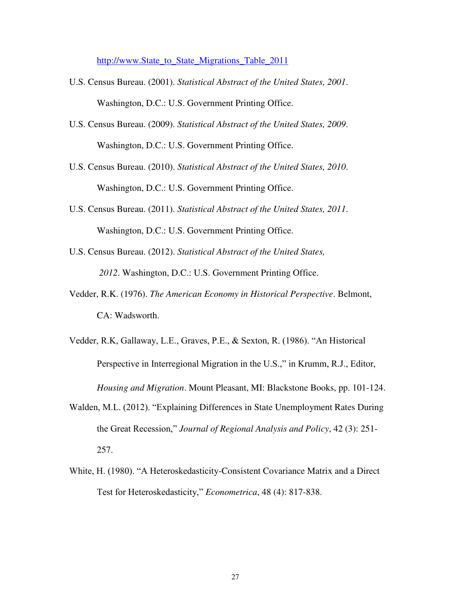[http://www.State\\_to\\_State\\_Migrations\\_Table\\_2011](http://www.state_to_state_migrations_table_2011/)

- U.S. Census Bureau. (2001). *Statistical Abstract of the United States, 2001*. Washington, D.C.: U.S. Government Printing Office.
- U.S. Census Bureau. (2009). *Statistical Abstract of the United States, 2009*. Washington, D.C.: U.S. Government Printing Office.
- U.S. Census Bureau. (2010). *Statistical Abstract of the United States, 2010*. Washington, D.C.: U.S. Government Printing Office.
- U.S. Census Bureau. (2011). *Statistical Abstract of the United States, 2011*. Washington, D.C.: U.S. Government Printing Office.
- U.S. Census Bureau. (2012). *Statistical Abstract of the United States, 2012*. Washington, D.C.: U.S. Government Printing Office.
- Vedder, R.K. (1976). *The American Economy in Historical Perspective*. Belmont, CA: Wadsworth.
- Vedder, R.K, Gallaway, L.E., Graves, P.E., & Sexton, R. (1986). "An Historical Perspective in Interregional Migration in the U.S.," in Krumm, R.J., Editor, *Housing and Migration*. Mount Pleasant, MI: Blackstone Books, pp. 101-124.
- Walden, M.L. (2012). "Explaining Differences in State Unemployment Rates During the Great Recession," *Journal of Regional Analysis and Policy*, 42 (3): 251- 257.
- White, H. (1980). "A Heteroskedasticity-Consistent Covariance Matrix and a Direct Test for Heteroskedasticity," *Econometrica*, 48 (4): 817-838.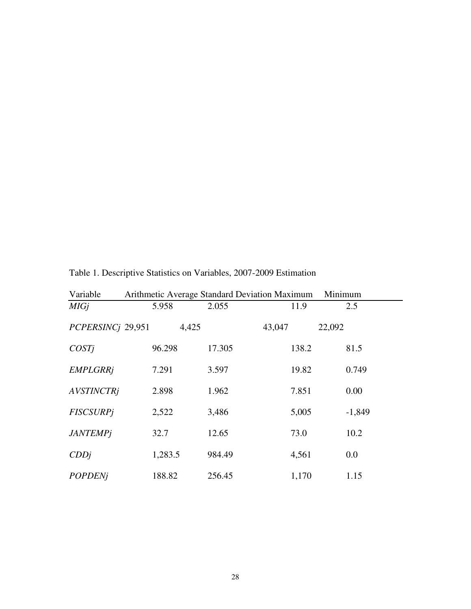| Variable          |         |        | Arithmetic Average Standard Deviation Maximum | Minimum  |
|-------------------|---------|--------|-----------------------------------------------|----------|
| <b>MIGj</b>       | 5.958   | 2.055  | 11.9                                          | 2.5      |
| PCPERSINCj 29,951 |         | 4,425  | 43,047                                        | 22,092   |
| COSTi             | 96.298  | 17.305 | 138.2                                         | 81.5     |
| <b>EMPLGRRj</b>   | 7.291   | 3.597  | 19.82                                         | 0.749    |
| <b>AVSTINCTRi</b> | 2.898   | 1.962  | 7.851                                         | 0.00     |
| <b>FISCSURPi</b>  | 2,522   | 3,486  | 5,005                                         | $-1,849$ |
| <b>JANTEMPj</b>   | 32.7    | 12.65  | 73.0                                          | 10.2     |
| CDDj              | 1,283.5 | 984.49 | 4,561                                         | 0.0      |
| <b>POPDENj</b>    | 188.82  | 256.45 | 1,170                                         | 1.15     |

### Table 1. Descriptive Statistics on Variables, 2007-2009 Estimation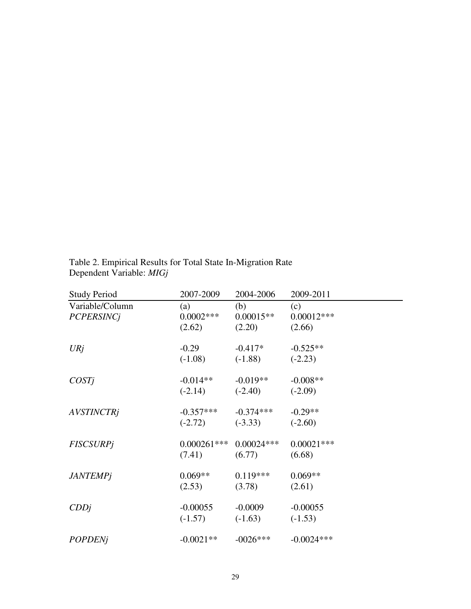| <b>Study Period</b>                  | 2007-2009                    | 2004-2006                    | 2009-2011                     |
|--------------------------------------|------------------------------|------------------------------|-------------------------------|
| Variable/Column<br><b>PCPERSINCj</b> | (a)<br>$0.0002***$<br>(2.62) | (b)<br>$0.00015**$<br>(2.20) | (c)<br>$0.00012***$<br>(2.66) |
| URj                                  | $-0.29$                      | $-0.417*$                    | $-0.525**$                    |
|                                      | $(-1.08)$                    | $(-1.88)$                    | $(-2.23)$                     |
| COSTj                                | $-0.014**$                   | $-0.019**$                   | $-0.008**$                    |
|                                      | $(-2.14)$                    | $(-2.40)$                    | $(-2.09)$                     |
| <b>AVSTINCTRj</b>                    | $-0.357***$                  | $-0.374***$                  | $-0.29**$                     |
|                                      | $(-2.72)$                    | $(-3.33)$                    | $(-2.60)$                     |
| <b>FISCSURPj</b>                     | $0.000261***$                | $0.00024***$                 | $0.00021***$                  |
|                                      | (7.41)                       | (6.77)                       | (6.68)                        |
| <b>JANTEMPj</b>                      | $0.069**$                    | $0.119***$                   | $0.069**$                     |
|                                      | (2.53)                       | (3.78)                       | (2.61)                        |
| CDDj                                 | $-0.00055$                   | $-0.0009$                    | $-0.00055$                    |
|                                      | $(-1.57)$                    | $(-1.63)$                    | $(-1.53)$                     |
| <b>POPDENj</b>                       | $-0.0021**$                  | $-0026***$                   | $-0.0024***$                  |

Table 2. Empirical Results for Total State In-Migration Rate Dependent Variable: *MIGj*